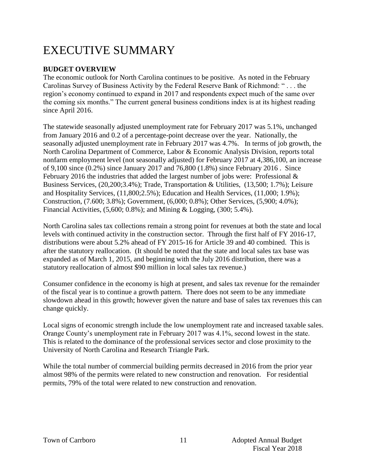# EXECUTIVE SUMMARY

### **BUDGET OVERVIEW**

The economic outlook for North Carolina continues to be positive. As noted in the February Carolinas Survey of Business Activity by the Federal Reserve Bank of Richmond: " . . . the region's economy continued to expand in 2017 and respondents expect much of the same over the coming six months." The current general business conditions index is at its highest reading since April 2016.

The statewide seasonally adjusted unemployment rate for February 2017 was 5.1%, unchanged from January 2016 and 0.2 of a percentage-point decrease over the year. Nationally, the seasonally adjusted unemployment rate in February 2017 was 4.7%. In terms of job growth, the North Carolina Department of Commerce, Labor & Economic Analysis Division, reports total nonfarm employment level (not seasonally adjusted) for February 2017 at 4,386,100, an increase of 9,100 since (0.2%) since January 2017 and 76,800 (1.8%) since February 2016 . Since February 2016 the industries that added the largest number of jobs were: Professional  $\&$ Business Services, (20,200;3.4%); Trade, Transportation & Utilities, (13,500; 1.7%); Leisure and Hospitality Services, (11,800;2.5%); Education and Health Services, (11,000; 1.9%); Construction, (7.600; 3.8%); Government, (6,000; 0.8%); Other Services, (5,900; 4.0%); Financial Activities, (5,600; 0.8%); and Mining & Logging, (300; 5.4%).

North Carolina sales tax collections remain a strong point for revenues at both the state and local levels with continued activity in the construction sector. Through the first half of FY 2016-17, distributions were about 5.2% ahead of FY 2015-16 for Article 39 and 40 combined. This is after the statutory reallocation. (It should be noted that the state and local sales tax base was expanded as of March 1, 2015, and beginning with the July 2016 distribution, there was a statutory reallocation of almost \$90 million in local sales tax revenue.)

Consumer confidence in the economy is high at present, and sales tax revenue for the remainder of the fiscal year is to continue a growth pattern. There does not seem to be any immediate slowdown ahead in this growth; however given the nature and base of sales tax revenues this can change quickly.

Local signs of economic strength include the low unemployment rate and increased taxable sales. Orange County's unemployment rate in February 2017 was 4.1%, second lowest in the state. This is related to the dominance of the professional services sector and close proximity to the University of North Carolina and Research Triangle Park.

While the total number of commercial building permits decreased in 2016 from the prior year almost 98% of the permits were related to new construction and renovation. For residential permits, 79% of the total were related to new construction and renovation.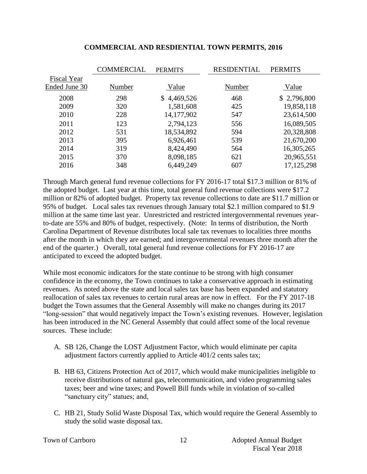|               | <b>COMMERCIAL</b> | <b>PERMITS</b> | <b>RESIDENTIAL</b> | <b>PERMITS</b> |
|---------------|-------------------|----------------|--------------------|----------------|
| Fiscal Year   |                   |                |                    |                |
| Ended June 30 | Number            | Value          | Number             | Value          |
| 2008          | 298               | \$4,469,526    | 468                | \$2,796,800    |
| 2009          | 320               | 1,581,608      | 425                | 19,858,118     |
| 2010          | 228               | 14,177,902     | 547                | 23,614,500     |
| 2011          | 123               | 2,794,123      | 556                | 16,089,505     |
| 2012          | 531               | 18,534,892     | 594                | 20,328,808     |
| 2013          | 395               | 6,926,461      | 539                | 21,670,200     |
| 2014          | 319               | 8,424,490      | 564                | 16,305,265     |
| 2015          | 370               | 8,098,185      | 621                | 20,965,551     |
| 2016          | 348               | 6,449,249      | 607                | 17, 125, 298   |
|               |                   |                |                    |                |

#### **COMMERCIAL AND RESDIENTIAL TOWN PERMITS, 2016**

Through March general fund revenue collections for FY 2016-17 total \$17.3 million or 81% of the adopted budget. Last year at this time, total general fund revenue collections were \$17.2 million or 82% of adopted budget. Property tax revenue collections to date are \$11.7 million or 95% of budget. Local sales tax revenues through January total \$2.1 million compared to \$1.9 million at the same time last year. Unrestricted and restricted intergovernmental revenues yearto-date are 55% and 80% of budget, respectively. (Note: In terms of distribution, the North Carolina Department of Revenue distributes local sale tax revenues to localities three months after the month in which they are earned; and intergovernmental revenues three month after the end of the quarter.) Overall, total general fund revenue collections for FY 2016-17 are anticipated to exceed the adopted budget.

While most economic indicators for the state continue to be strong with high consumer confidence in the economy, the Town continues to take a conservative approach in estimating revenues. As noted above the state and local sales tax base has been expanded and statutory reallocation of sales tax revenues to certain rural areas are now in effect. For the FY 2017-18 budget the Town assumes that the General Assembly will make no changes during its 2017 "long-session" that would negatively impact the Town's existing revenues. However, legislation has been introduced in the NC General Assembly that could affect some of the local revenue sources. These include:

- A. SB 126, Change the LOST Adjustment Factor, which would eliminate per capita adjustment factors currently applied to Article 401/2 cents sales tax;
- B. HB 63, Citizens Protection Act of 2017, which would make municipalities ineligible to receive distributions of natural gas, telecommunication, and video programming sales taxes; beer and wine taxes; and Powell Bill funds while in violation of so-called "sanctuary city" statues; and,
- C. HB 21, Study Solid Waste Disposal Tax, which would require the General Assembly to study the solid waste disposal tax.

|  |  | Town of Carrboro |
|--|--|------------------|
|--|--|------------------|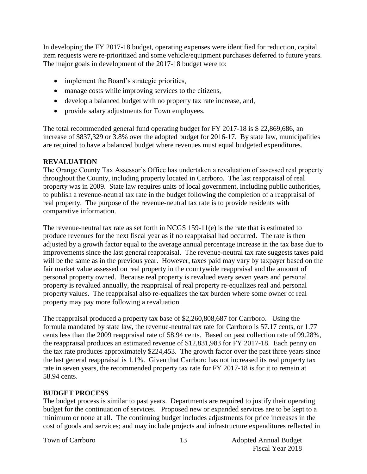In developing the FY 2017-18 budget, operating expenses were identified for reduction, capital item requests were re-prioritized and some vehicle/equipment purchases deferred to future years. The major goals in development of the 2017-18 budget were to:

- implement the Board's strategic priorities,
- manage costs while improving services to the citizens,
- develop a balanced budget with no property tax rate increase, and,
- provide salary adjustments for Town employees.

The total recommended general fund operating budget for FY 2017-18 is \$ 22,869,686, an increase of \$837,329 or 3.8% over the adopted budget for 2016-17. By state law, municipalities are required to have a balanced budget where revenues must equal budgeted expenditures.

#### **REVALUATION**

The Orange County Tax Assessor's Office has undertaken a revaluation of assessed real property throughout the County, including property located in Carrboro. The last reappraisal of real property was in 2009. State law requires units of local government, including public authorities, to publish a revenue-neutral tax rate in the budget following the completion of a reappraisal of real property. The purpose of the revenue-neutral tax rate is to provide residents with comparative information.

The revenue-neutral tax rate as set forth in NCGS 159-11(e) is the rate that is estimated to produce revenues for the next fiscal year as if no reappraisal had occurred. The rate is then adjusted by a growth factor equal to the average annual percentage increase in the tax base due to improvements since the last general reappraisal. The revenue-neutral tax rate suggests taxes paid will be the same as in the previous year. However, taxes paid may vary by taxpayer based on the fair market value assessed on real property in the countywide reappraisal and the amount of personal property owned. Because real property is revalued every seven years and personal property is revalued annually, the reappraisal of real property re-equalizes real and personal property values. The reappraisal also re-equalizes the tax burden where some owner of real property may pay more following a revaluation.

The reappraisal produced a property tax base of \$2,260,808,687 for Carrboro. Using the formula mandated by state law, the revenue-neutral tax rate for Carrboro is 57.17 cents, or 1.77 cents less than the 2009 reappraisal rate of 58.94 cents. Based on past collection rate of 99.28%, the reappraisal produces an estimated revenue of \$12,831,983 for FY 2017-18. Each penny on the tax rate produces approximately \$224,453. The growth factor over the past three years since the last general reappraisal is 1.1%. Given that Carrboro has not increased its real property tax rate in seven years, the recommended property tax rate for FY 2017-18 is for it to remain at 58.94 cents.

#### **BUDGET PROCESS**

The budget process is similar to past years. Departments are required to justify their operating budget for the continuation of services. Proposed new or expanded services are to be kept to a minimum or none at all. The continuing budget includes adjustments for price increases in the cost of goods and services; and may include projects and infrastructure expenditures reflected in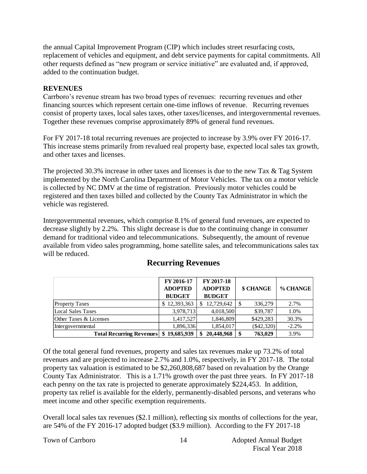the annual Capital Improvement Program (CIP) which includes street resurfacing costs, replacement of vehicles and equipment, and debt service payments for capital commitments. All other requests defined as "new program or service initiative" are evaluated and, if approved, added to the continuation budget.

#### **REVENUES**

Carrboro's revenue stream has two broad types of revenues: recurring revenues and other financing sources which represent certain one-time inflows of revenue. Recurring revenues consist of property taxes, local sales taxes, other taxes/licenses, and intergovernmental revenues. Together these revenues comprise approximately 89% of general fund revenues.

For FY 2017-18 total recurring revenues are projected to increase by 3.9% over FY 2016-17. This increase stems primarily from revalued real property base, expected local sales tax growth, and other taxes and licenses.

The projected 30.3% increase in other taxes and licenses is due to the new Tax & Tag System implemented by the North Carolina Department of Motor Vehicles. The tax on a motor vehicle is collected by NC DMV at the time of registration. Previously motor vehicles could be registered and then taxes billed and collected by the County Tax Administrator in which the vehicle was registered.

Intergovernmental revenues, which comprise 8.1% of general fund revenues, are expected to decrease slightly by 2.2%. This slight decrease is due to the continuing change in consumer demand for traditional video and telecommunications. Subsequently, the amount of revenue available from video sales programming, home satellite sales, and telecommunications sales tax will be reduced.

|                                         | FY 2016-17                      | FY 2017-18                      |               |          |
|-----------------------------------------|---------------------------------|---------------------------------|---------------|----------|
|                                         | <b>ADOPTED</b><br><b>BUDGET</b> | <b>ADOPTED</b><br><b>BUDGET</b> | \$ CHANGE     | % CHANGE |
| <b>Property Taxes</b>                   | \$12,393,363                    | 12,729,642                      | 336,279<br>-S | 2.7%     |
| Local Sales Taxes                       | 3,978,713                       | 4,018,500                       | \$39,787      | 1.0%     |
| Other Taxes & Licenses                  | 1,417,527                       | 1,846,809                       | \$429,283     | 30.3%    |
| Intergovernmental                       | 1,896,336                       | 1,854,017                       | $(\$42,320)$  | $-2.2%$  |
| Total Recurring Revenues \\$ 19,685,939 |                                 | 20,448,968                      | 763,029<br>S  | 3.9%     |

## **Recurring Revenues**

Of the total general fund revenues, property and sales tax revenues make up 73.2% of total revenues and are projected to increase 2.7% and 1.0%, respectively, in FY 2017-18. The total property tax valuation is estimated to be \$2,260,808,687 based on revaluation by the Orange County Tax Administrator. This is a 1.71% growth over the past three years. In FY 2017-18 each penny on the tax rate is projected to generate approximately \$224,453. In addition, property tax relief is available for the elderly, permanently-disabled persons, and veterans who meet income and other specific exemption requirements.

Overall local sales tax revenues (\$2.1 million), reflecting six months of collections for the year, are 54% of the FY 2016-17 adopted budget (\$3.9 million). According to the FY 2017-18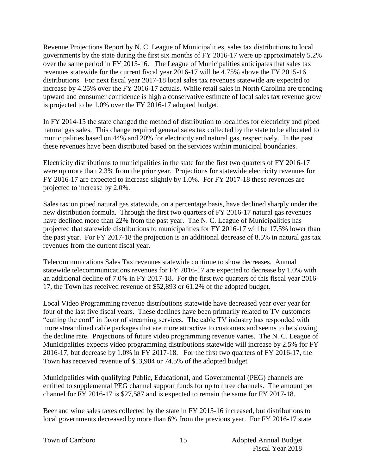Revenue Projections Report by N. C. League of Municipalities, sales tax distributions to local governments by the state during the first six months of FY 2016-17 were up approximately 5.2% over the same period in FY 2015-16. The League of Municipalities anticipates that sales tax revenues statewide for the current fiscal year 2016-17 will be 4.75% above the FY 2015-16 distributions. For next fiscal year 2017-18 local sales tax revenues statewide are expected to increase by 4.25% over the FY 2016-17 actuals. While retail sales in North Carolina are trending upward and consumer confidence is high a conservative estimate of local sales tax revenue grow is projected to be 1.0% over the FY 2016-17 adopted budget.

In FY 2014-15 the state changed the method of distribution to localities for electricity and piped natural gas sales. This change required general sales tax collected by the state to be allocated to municipalities based on 44% and 20% for electricity and natural gas, respectively. In the past these revenues have been distributed based on the services within municipal boundaries.

Electricity distributions to municipalities in the state for the first two quarters of FY 2016-17 were up more than 2.3% from the prior year. Projections for statewide electricity revenues for FY 2016-17 are expected to increase slightly by 1.0%. For FY 2017-18 these revenues are projected to increase by 2.0%.

Sales tax on piped natural gas statewide, on a percentage basis, have declined sharply under the new distribution formula. Through the first two quarters of FY 2016-17 natural gas revenues have declined more than 22% from the past year. The N. C. League of Municipalities has projected that statewide distributions to municipalities for FY 2016-17 will be 17.5% lower than the past year. For FY 2017-18 the projection is an additional decrease of 8.5% in natural gas tax revenues from the current fiscal year.

Telecommunications Sales Tax revenues statewide continue to show decreases. Annual statewide telecommunications revenues for FY 2016-17 are expected to decrease by 1.0% with an additional decline of 7.0% in FY 2017-18. For the first two quarters of this fiscal year 2016- 17, the Town has received revenue of \$52,893 or 61.2% of the adopted budget.

Local Video Programming revenue distributions statewide have decreased year over year for four of the last five fiscal years. These declines have been primarily related to TV customers "cutting the cord" in favor of streaming services. The cable TV industry has responded with more streamlined cable packages that are more attractive to customers and seems to be slowing the decline rate. Projections of future video programming revenue varies. The N. C. League of Municipalities expects video programming distributions statewide will increase by 2.5% for FY 2016-17, but decrease by 1.0% in FY 2017-18. For the first two quarters of FY 2016-17, the Town has received revenue of \$13,904 or 74.5% of the adopted budget

Municipalities with qualifying Public, Educational, and Governmental (PEG) channels are entitled to supplemental PEG channel support funds for up to three channels. The amount per channel for FY 2016-17 is \$27,587 and is expected to remain the same for FY 2017-18.

Beer and wine sales taxes collected by the state in FY 2015-16 increased, but distributions to local governments decreased by more than 6% from the previous year. For FY 2016-17 state

Town of Carrboro 15 Adopted Annual Budget Fiscal Year 2018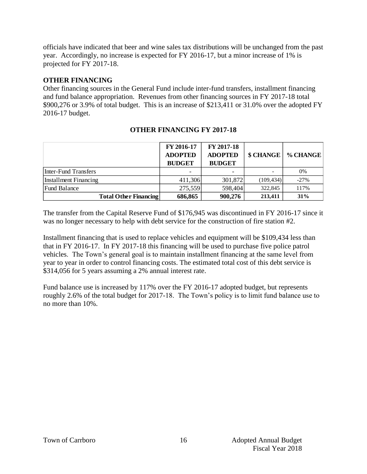officials have indicated that beer and wine sales tax distributions will be unchanged from the past year. Accordingly, no increase is expected for FY 2016-17, but a minor increase of 1% is projected for FY 2017-18.

#### **OTHER FINANCING**

Other financing sources in the General Fund include inter-fund transfers, installment financing and fund balance appropriation. Revenues from other financing sources in FY 2017-18 total \$900,276 or 3.9% of total budget. This is an increase of \$213,411 or 31.0% over the adopted FY 2016-17 budget.

|                              | FY 2016-17<br><b>ADOPTED</b><br><b>BUDGET</b> | FY 2017-18<br><b>ADOPTED</b><br><b>BUDGET</b> | \$ CHANGE  | % CHANGE |
|------------------------------|-----------------------------------------------|-----------------------------------------------|------------|----------|
| Inter-Fund Transfers         |                                               |                                               |            | 0%       |
| Installment Financing        | 411,306                                       | 301,872                                       | (109, 434) | $-27%$   |
| <b>Fund Balance</b>          | 275,559                                       | 598,404                                       | 322,845    | 117%     |
| <b>Total Other Financing</b> | 686,865                                       | 900,276                                       | 213,411    | 31%      |

#### **OTHER FINANCING FY 2017-18**

The transfer from the Capital Reserve Fund of \$176,945 was discontinued in FY 2016-17 since it was no longer necessary to help with debt service for the construction of fire station #2.

Installment financing that is used to replace vehicles and equipment will be \$109,434 less than that in FY 2016-17. In FY 2017-18 this financing will be used to purchase five police patrol vehicles. The Town's general goal is to maintain installment financing at the same level from year to year in order to control financing costs. The estimated total cost of this debt service is \$314,056 for 5 years assuming a 2% annual interest rate.

Fund balance use is increased by 117% over the FY 2016-17 adopted budget, but represents roughly 2.6% of the total budget for 2017-18. The Town's policy is to limit fund balance use to no more than 10%.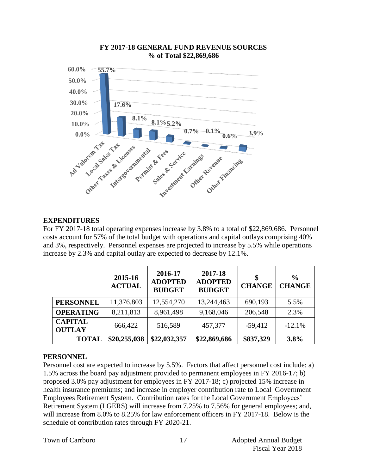

#### **FY 2017-18 GENERAL FUND REVENUE SOURCES % of Total \$22,869,686**

### **EXPENDITURES**

For FY 2017-18 total operating expenses increase by 3.8% to a total of \$22,869,686. Personnel costs account for 57% of the total budget with operations and capital outlays comprising 40% and 3%, respectively. Personnel expenses are projected to increase by 5.5% while operations increase by 2.3% and capital outlay are expected to decrease by 12.1%.

|                                 | 2015-16<br><b>ACTUAL</b> | 2016-17<br><b>ADOPTED</b><br><b>BUDGET</b> | 2017-18<br><b>ADOPTED</b><br><b>BUDGET</b> | \$<br><b>CHANGE</b> | $\frac{6}{9}$<br><b>CHANGE</b> |
|---------------------------------|--------------------------|--------------------------------------------|--------------------------------------------|---------------------|--------------------------------|
| <b>PERSONNEL</b>                | 11,376,803               | 12,554,270                                 | 13,244,463                                 | 690,193             | 5.5%                           |
| <b>OPERATING</b>                | 8,211,813                | 8,961,498                                  | 9,168,046                                  | 206,548             | 2.3%                           |
| <b>CAPITAL</b><br><b>OUTLAY</b> | 666,422                  | 516,589                                    | 457,377                                    | $-59,412$           | $-12.1%$                       |
| <b>TOTAL</b>                    | \$20,255,038             | \$22,032,357                               | \$22,869,686                               | \$837,329           | 3.8%                           |

#### **PERSONNEL**

Personnel cost are expected to increase by 5.5%. Factors that affect personnel cost include: a) 1.5% across the board pay adjustment provided to permanent employees in FY 2016-17; b) proposed 3.0% pay adjustment for employees in FY 2017-18; c) projected 15% increase in health insurance premiums; and increase in employer contribution rate to Local Government Employees Retirement System. Contribution rates for the Local Government Employees' Retirement System (LGERS) will increase from 7.25% to 7.56% for general employees; and, will increase from 8.0% to 8.25% for law enforcement officers in FY 2017-18. Below is the schedule of contribution rates through FY 2020-21.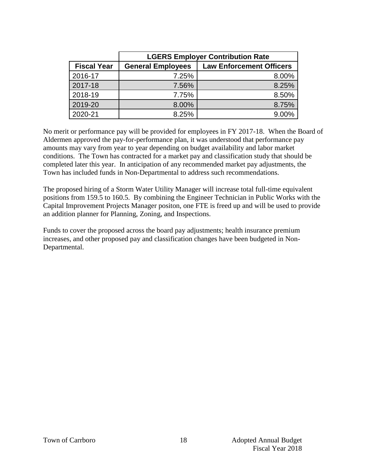|                    | <b>LGERS Employer Contribution Rate</b> |                                 |  |  |  |  |  |  |  |
|--------------------|-----------------------------------------|---------------------------------|--|--|--|--|--|--|--|
| <b>Fiscal Year</b> | <b>General Employees</b>                | <b>Law Enforcement Officers</b> |  |  |  |  |  |  |  |
| 2016-17            | 7.25%                                   | 8.00%                           |  |  |  |  |  |  |  |
| 2017-18            | 7.56%                                   | 8.25%                           |  |  |  |  |  |  |  |
| 2018-19            | 7.75%                                   | 8.50%                           |  |  |  |  |  |  |  |
| 2019-20            | 8.00%                                   | 8.75%                           |  |  |  |  |  |  |  |
| 2020-21            | 8.25%                                   | 9.00%                           |  |  |  |  |  |  |  |

No merit or performance pay will be provided for employees in FY 2017-18. When the Board of Aldermen approved the pay-for-performance plan, it was understood that performance pay amounts may vary from year to year depending on budget availability and labor market conditions. The Town has contracted for a market pay and classification study that should be completed later this year. In anticipation of any recommended market pay adjustments, the Town has included funds in Non-Departmental to address such recommendations.

The proposed hiring of a Storm Water Utility Manager will increase total full-time equivalent positions from 159.5 to 160.5. By combining the Engineer Technician in Public Works with the Capital Improvement Projects Manager positon, one FTE is freed up and will be used to provide an addition planner for Planning, Zoning, and Inspections.

Funds to cover the proposed across the board pay adjustments; health insurance premium increases, and other proposed pay and classification changes have been budgeted in Non-Departmental.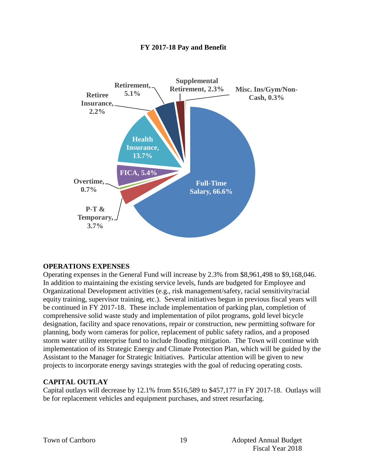

#### **FY 2017-18 Pay and Benefit**

#### **OPERATIONS EXPENSES**

Operating expenses in the General Fund will increase by 2.3% from \$8,961,498 to \$9,168,046. In addition to maintaining the existing service levels, funds are budgeted for Employee and Organizational Development activities (e.g., risk management/safety, racial sensitivity/racial equity training, supervisor training, etc.). Several initiatives begun in previous fiscal years will be continued in FY 2017-18. These include implementation of parking plan, completion of comprehensive solid waste study and implementation of pilot programs, gold level bicycle designation, facility and space renovations, repair or construction, new permitting software for planning, body worn cameras for police, replacement of public safety radios, and a proposed storm water utility enterprise fund to include flooding mitigation. The Town will continue with implementation of its Strategic Energy and Climate Protection Plan, which will be guided by the Assistant to the Manager for Strategic Initiatives. Particular attention will be given to new projects to incorporate energy savings strategies with the goal of reducing operating costs.

#### **CAPITAL OUTLAY**

Capital outlays will decrease by 12.1% from \$516,589 to \$457,177 in FY 2017-18. Outlays will be for replacement vehicles and equipment purchases, and street resurfacing.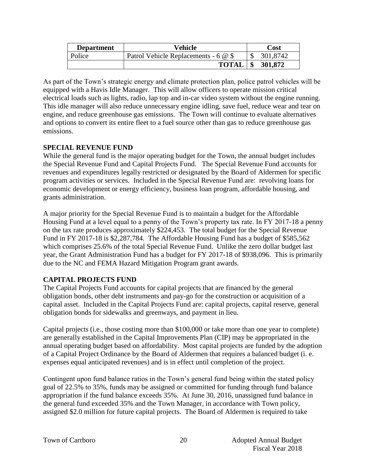| <b>Department</b> | Vehicle                              | Cost     |
|-------------------|--------------------------------------|----------|
| Police            | Patrol Vehicle Replacements - 6 @ \$ | 301,8742 |
|                   | <b>TOTAL</b>                         | 301,872  |

As part of the Town's strategic energy and climate protection plan, police patrol vehicles will be equipped with a Havis Idle Manager. This will allow officers to operate mission critical electrical loads such as lights, radio, lap top and in-car video system without the engine running. This idle manager will also reduce unnecessary engine idling, save fuel, reduce wear and tear on engine, and reduce greenhouse gas emissions. The Town will continue to evaluate alternatives and options to convert its entire fleet to a fuel source other than gas to reduce greenhouse gas emissions.

#### **SPECIAL REVENUE FUND**

While the general fund is the major operating budget for the Town, the annual budget includes the Special Revenue Fund and Capital Projects Fund. The Special Revenue Fund accounts for revenues and expenditures legally restricted or designated by the Board of Aldermen for specific program activities or services. Included in the Special Revenue Fund are: revolving loans for economic development or energy efficiency, business loan program, affordable housing, and grants administration.

A major priority for the Special Revenue Fund is to maintain a budget for the Affordable Housing Fund at a level equal to a penny of the Town's property tax rate. In FY 2017-18 a penny on the tax rate produces approximately \$224,453. The total budget for the Special Revenue Fund in FY 2017-18 is \$2,287,784. The Affordable Housing Fund has a budget of \$585,562 which comprises 25.6% of the total Special Revenue Fund. Unlike the zero dollar budget last year, the Grant Administration Fund has a budget for FY 2017-18 of \$938,096. This is primarily due to the NC and FEMA Hazard Mitigation Program grant awards.

#### **CAPITAL PROJECTS FUND**

The Capital Projects Fund accounts for capital projects that are financed by the general obligation bonds, other debt instruments and pay-go for the construction or acquisition of a capital asset. Included in the Capital Projects Fund are: capital projects, capital reserve, general obligation bonds for sidewalks and greenways, and payment in lieu.

Capital projects (i.e., those costing more than \$100,000 or take more than one year to complete) are generally established in the Capital Improvements Plan (CIP) may be appropriated in the annual operating budget based on affordability. Most capital projects are funded by the adoption of a Capital Project Ordinance by the Board of Aldermen that requires a balanced budget (i. e. expenses equal anticipated revenues) and is in effect until completion of the project.

Contingent upon fund balance ratios in the Town's general fund being within the stated policy goal of 22.5% to 35%, funds may be assigned or committed for funding through fund balance appropriation if the fund balance exceeds 35%. At June 30, 2016, unassigned fund balance in the general fund exceeded 35% and the Town Manager, in accordance with Town policy, assigned \$2.0 million for future capital projects. The Board of Aldermen is required to take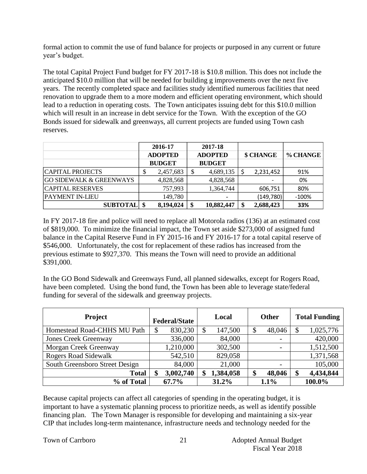formal action to commit the use of fund balance for projects or purposed in any current or future year's budget.

The total Capital Project Fund budget for FY 2017-18 is \$10.8 million. This does not include the anticipated \$10.0 million that will be needed for building g improvements over the next five years. The recently completed space and facilities study identified numerous facilities that need renovation to upgrade them to a more modern and efficient operating environment, which should lead to a reduction in operating costs. The Town anticipates issuing debt for this \$10.0 million which will result in an increase in debt service for the Town. With the exception of the GO Bonds issued for sidewalk and greenways, all current projects are funded using Town cash reserves.

|                                    |                | 2016-17       |                | 2017-18       |           |            |          |
|------------------------------------|----------------|---------------|----------------|---------------|-----------|------------|----------|
|                                    | <b>ADOPTED</b> |               | <b>ADOPTED</b> |               | \$ CHANGE |            | % CHANGE |
|                                    |                | <b>BUDGET</b> |                | <b>BUDGET</b> |           |            |          |
| CAPITAL PROJECTS                   | ◡              | 2,457,683     |                | 4,689,135     |           | 2,231,452  | 91%      |
| <b>GO SIDEWALK &amp; GREENWAYS</b> |                | 4,828,568     |                | 4,828,568     |           |            | 0%       |
| CAPITAL RESERVES                   |                | 757,993       |                | 1,364,744     |           | 606,751    | 80%      |
| <b>PAYMENT IN-LIEU</b>             |                | 149,780       |                |               |           | (149, 780) | $-100%$  |
| <b>SUBTOTAL</b>                    | -\$            | 8,194,024     | \$             | 10,882,447    |           | 2,688,423  | 33%      |

In FY 2017-18 fire and police will need to replace all Motorola radios (136) at an estimated cost of \$819,000. To minimize the financial impact, the Town set aside \$273,000 of assigned fund balance in the Capital Reserve Fund in FY 2015-16 and FY 2016-17 for a total capital reserve of \$546,000. Unfortunately, the cost for replacement of these radios has increased from the previous estimate to \$927,370. This means the Town will need to provide an additional \$391,000.

In the GO Bond Sidewalk and Greenways Fund, all planned sidewalks, except for Rogers Road, have been completed. Using the bond fund, the Town has been able to leverage state/federal funding for several of the sidewalk and greenway projects.

| <b>Project</b>                 |    | <b>Federal/State</b> | Local         | <b>Other</b>             | <b>Total Funding</b> |
|--------------------------------|----|----------------------|---------------|--------------------------|----------------------|
| Homestead Road-CHHS MU Path    | \$ | 830,230              | \$<br>147,500 | \$<br>48,046             | 1,025,776            |
| <b>Jones Creek Greenway</b>    |    | 336,000              | 84,000        | $\overline{\phantom{0}}$ | 420,000              |
| Morgan Creek Greenway          |    | 1,210,000            | 302,500       | $\overline{\phantom{0}}$ | 1,512,500            |
| <b>Rogers Road Sidewalk</b>    |    | 542,510              | 829,058       |                          | 1,371,568            |
| South Greensboro Street Design |    | 84,000               | 21,000        | $\overline{\phantom{0}}$ | 105,000              |
| <b>Total</b>                   | \$ | 3,002,740            | 1,384,058     | \$<br>48,046             | 4,434,844            |
| % of Total                     |    | 67.7%                | 31.2%         | 1.1%                     | 100.0%               |

Because capital projects can affect all categories of spending in the operating budget, it is important to have a systematic planning process to prioritize needs, as well as identify possible financing plan. The Town Manager is responsible for developing and maintaining a six-year CIP that includes long-term maintenance, infrastructure needs and technology needed for the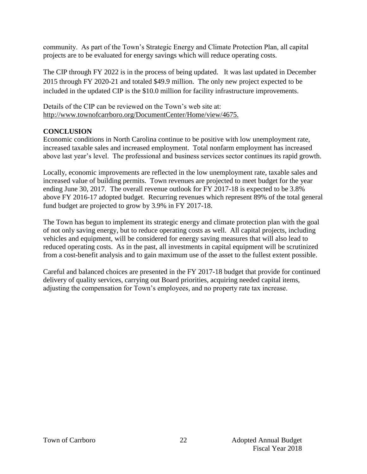community. As part of the Town's Strategic Energy and Climate Protection Plan, all capital projects are to be evaluated for energy savings which will reduce operating costs.

The CIP through FY 2022 is in the process of being updated. It was last updated in December 2015 through FY 2020-21 and totaled \$49.9 million. The only new project expected to be included in the updated CIP is the \$10.0 million for facility infrastructure improvements.

Details of the CIP can be reviewed on the Town's web site at: http://www.townofcarrboro.org/DocumentCenter/Home/view/4675.

#### **CONCLUSION**

Economic conditions in North Carolina continue to be positive with low unemployment rate, increased taxable sales and increased employment. Total nonfarm employment has increased above last year's level. The professional and business services sector continues its rapid growth.

Locally, economic improvements are reflected in the low unemployment rate, taxable sales and increased value of building permits. Town revenues are projected to meet budget for the year ending June 30, 2017. The overall revenue outlook for FY 2017-18 is expected to be 3.8% above FY 2016-17 adopted budget. Recurring revenues which represent 89% of the total general fund budget are projected to grow by 3.9% in FY 2017-18.

The Town has begun to implement its strategic energy and climate protection plan with the goal of not only saving energy, but to reduce operating costs as well. All capital projects, including vehicles and equipment, will be considered for energy saving measures that will also lead to reduced operating costs. As in the past, all investments in capital equipment will be scrutinized from a cost-benefit analysis and to gain maximum use of the asset to the fullest extent possible.

Careful and balanced choices are presented in the FY 2017-18 budget that provide for continued delivery of quality services, carrying out Board priorities, acquiring needed capital items, adjusting the compensation for Town's employees, and no property rate tax increase.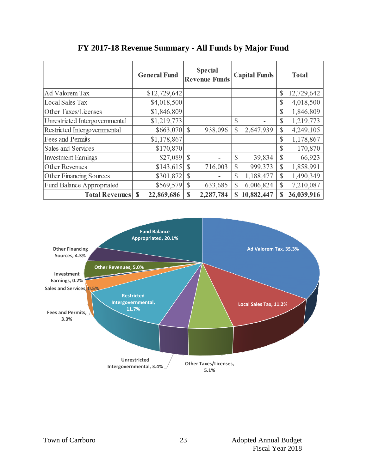|                                  | <b>General Fund</b>       | <b>Special</b><br><b>Revenue Funds</b> | <b>Capital Funds</b>    | <b>Total</b>               |
|----------------------------------|---------------------------|----------------------------------------|-------------------------|----------------------------|
| <b>Ad Valorem Tax</b>            | \$12,729,642              |                                        |                         | \$<br>12,729,642           |
| <b>Local Sales Tax</b>           | \$4,018,500               |                                        |                         | 4,018,500<br>\$            |
| Other Taxes/Licenses             | \$1,846,809               |                                        |                         | 1,846,809<br>\$            |
| Unrestricted Intergovernmental   | \$1,219,773               |                                        | \$                      | 1,219,773<br>\$            |
| Restricted Intergovernmental     |                           | 938,096                                | \$<br>2,647,939         | \$<br>4,249,105            |
| Fees and Permits                 | \$1,178,867               |                                        |                         | 1,178,867<br>\$            |
| Sales and Services               | \$170,870                 |                                        |                         | \$<br>170,870              |
| <b>Investment Earnings</b>       |                           |                                        | $\mathcal{S}$<br>39,834 | \$<br>66,923               |
| Other Revenues                   | \$143,615                 | 716,003<br><sup>S</sup>                | \$<br>999,373           | \$<br>1,858,991            |
| Other Financing Sources          | \$301,872                 | <sup>\$</sup>                          | \$<br>1,188,477         | 1,490,349<br>$\mathcal{S}$ |
| <b>Fund Balance Appropriated</b> | \$569,579                 | $\mathcal{S}$<br>633,685               | \$<br>6,006,824         | \$<br>7,210,087            |
| <b>Total Revenues</b>            | 22,869,686<br>$\mathbf S$ | 2,287,784<br><sup>\$</sup>             | 10,882,447<br>\$        | 36,039,916<br>\$           |

# **FY 2017-18 Revenue Summary - All Funds by Major Fund**

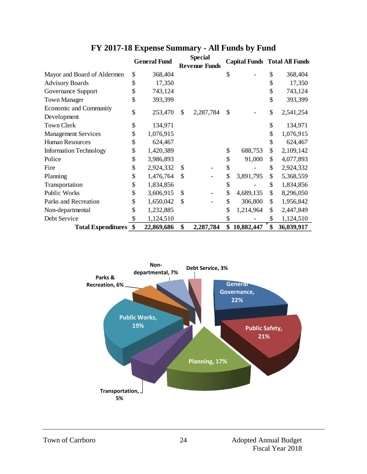|                               | <b>General Fund</b> |               | Special<br><b>Revenue Funds</b> |                  |    | <b>Capital Funds Total All Funds</b> |
|-------------------------------|---------------------|---------------|---------------------------------|------------------|----|--------------------------------------|
| Mayor and Board of Aldermen   | \$<br>368,404       |               |                                 | \$               | \$ | 368,404                              |
| <b>Advisory Boards</b>        | \$<br>17,350        |               |                                 |                  | \$ | 17,350                               |
| Governance Support            | \$<br>743,124       |               |                                 |                  |    | 743,124                              |
| <b>Town Manager</b>           | \$<br>393,399       |               |                                 |                  | \$ | 393,399                              |
| Economic and Community        | \$<br>253,470       | \$            | 2,287,784                       | \$               | \$ |                                      |
| Development                   |                     |               |                                 |                  |    | 2,541,254                            |
| <b>Town Clerk</b>             | \$<br>134,971       |               |                                 |                  | \$ | 134,971                              |
| <b>Management Services</b>    | \$<br>1,076,915     |               |                                 |                  | \$ | 1,076,915                            |
| <b>Human Resources</b>        | \$<br>624,467       |               |                                 |                  | \$ | 624,467                              |
| <b>Information Technology</b> | \$<br>1,420,389     |               |                                 | \$<br>688,753    | \$ | 2,109,142                            |
| Police                        | \$<br>3,986,893     |               |                                 | \$<br>91,000     | \$ | 4,077,893                            |
| Fire                          | \$<br>2,924,332     | <sup>\$</sup> |                                 | \$               | \$ | 2,924,332                            |
| Planning                      | \$<br>1,476,764     | \$            |                                 | \$<br>3,891,795  | \$ | 5,368,559                            |
| Transportation                | \$<br>1,834,856     |               |                                 | \$               | \$ | 1,834,856                            |
| <b>Public Works</b>           | \$<br>3,606,915     | \$            |                                 | \$<br>4,689,135  | \$ | 8,296,050                            |
| Parks and Recreation          | \$<br>1,650,042     | \$            |                                 | \$<br>306,800    | \$ | 1,956,842                            |
| Non-departmental              | \$<br>1,232,885     |               |                                 | \$<br>1,214,964  | \$ | 2,447,849                            |
| Debt Service                  | \$<br>1,124,510     |               |                                 | \$               | S  | 1,124,510                            |
| <b>Total Expenditures</b>     | \$<br>22,869,686    | \$            | 2,287,784                       | \$<br>10,882,447 | \$ | 36,039,917                           |

# **FY 2017-18 Expense Summary - All Funds by Fund**

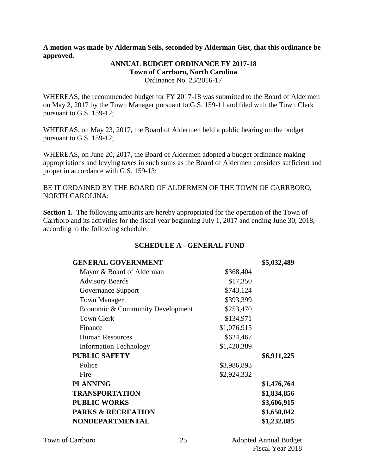**A motion was made by Alderman Seils, seconded by Alderman Gist, that this ordinance be approved.** 

#### **ANNUAL BUDGET ORDINANCE FY 2017-18 Town of Carrboro, North Carolina**  Ordinance No. 23/2016-17

WHEREAS, the recommended budget for FY 2017-18 was submitted to the Board of Aldermen on May 2, 2017 by the Town Manager pursuant to G.S. 159-11 and filed with the Town Clerk pursuant to G.S. 159-12;

WHEREAS, on May 23, 2017, the Board of Aldermen held a public hearing on the budget pursuant to G.S. 159-12;

WHEREAS, on June 20, 2017, the Board of Aldermen adopted a budget ordinance making appropriations and levying taxes in such sums as the Board of Aldermen considers sufficient and proper in accordance with G.S. 159-13;

BE IT ORDAINED BY THE BOARD OF ALDERMEN OF THE TOWN OF CARRBORO, NORTH CAROLINA:

**Section 1.** The following amounts are hereby appropriated for the operation of the Town of Carrboro and its activities for the fiscal year beginning July 1, 2017 and ending June 30, 2018, according to the following schedule.

#### **SCHEDULE A - GENERAL FUND**

| <b>GENERAL GOVERNMENT</b>        |             | \$5,032,489 |
|----------------------------------|-------------|-------------|
| Mayor & Board of Alderman        | \$368,404   |             |
| <b>Advisory Boards</b>           | \$17,350    |             |
| Governance Support               | \$743,124   |             |
| <b>Town Manager</b>              | \$393,399   |             |
| Economic & Community Development | \$253,470   |             |
| <b>Town Clerk</b>                | \$134,971   |             |
| Finance                          | \$1,076,915 |             |
| <b>Human Resources</b>           | \$624,467   |             |
| <b>Information Technology</b>    | \$1,420,389 |             |
| <b>PUBLIC SAFETY</b>             |             | \$6,911,225 |
| Police                           | \$3,986,893 |             |
| Fire                             | \$2,924,332 |             |
| <b>PLANNING</b>                  |             | \$1,476,764 |
| <b>TRANSPORTATION</b>            |             | \$1,834,856 |
| <b>PUBLIC WORKS</b>              |             | \$3,606,915 |
| <b>PARKS &amp; RECREATION</b>    |             | \$1,650,042 |
| NONDEPARTMENTAL                  |             | \$1,232,885 |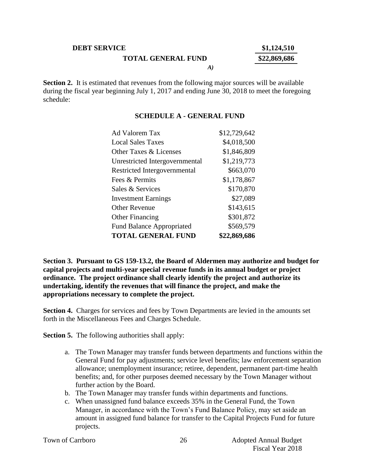#### **DEBT SERVICE \$1,124,510**

**TOTAL GENERAL FUND \$22,869,686**

*A)*

**Section 2.** It is estimated that revenues from the following major sources will be available during the fiscal year beginning July 1, 2017 and ending June 30, 2018 to meet the foregoing schedule:

#### **SCHEDULE A - GENERAL FUND**

| Ad Valorem Tax                    | \$12,729,642 |
|-----------------------------------|--------------|
| Local Sales Taxes                 | \$4,018,500  |
| <b>Other Taxes &amp; Licenses</b> | \$1,846,809  |
| Unrestricted Intergovernmental    | \$1,219,773  |
| Restricted Intergovernmental      | \$663,070    |
| Fees & Permits                    | \$1,178,867  |
| Sales & Services                  | \$170,870    |
| <b>Investment Earnings</b>        | \$27,089     |
| <b>Other Revenue</b>              | \$143,615    |
| <b>Other Financing</b>            | \$301,872    |
| <b>Fund Balance Appropriated</b>  | \$569,579    |
| <b>TOTAL GENERAL FUND</b>         | \$22,869,686 |

**Section 3. Pursuant to GS 159-13.2, the Board of Aldermen may authorize and budget for capital projects and multi-year special revenue funds in its annual budget or project ordinance. The project ordinance shall clearly identify the project and authorize its undertaking, identify the revenues that will finance the project, and make the appropriations necessary to complete the project.** 

**Section 4.** Charges for services and fees by Town Departments are levied in the amounts set forth in the Miscellaneous Fees and Charges Schedule.

**Section 5.** The following authorities shall apply:

- a. The Town Manager may transfer funds between departments and functions within the General Fund for pay adjustments; service level benefits; law enforcement separation allowance; unemployment insurance; retiree, dependent, permanent part-time health benefits; and, for other purposes deemed necessary by the Town Manager without further action by the Board.
- b. The Town Manager may transfer funds within departments and functions.
- c. When unassigned fund balance exceeds 35% in the General Fund, the Town Manager, in accordance with the Town's Fund Balance Policy, may set aside an amount in assigned fund balance for transfer to the Capital Projects Fund for future projects.